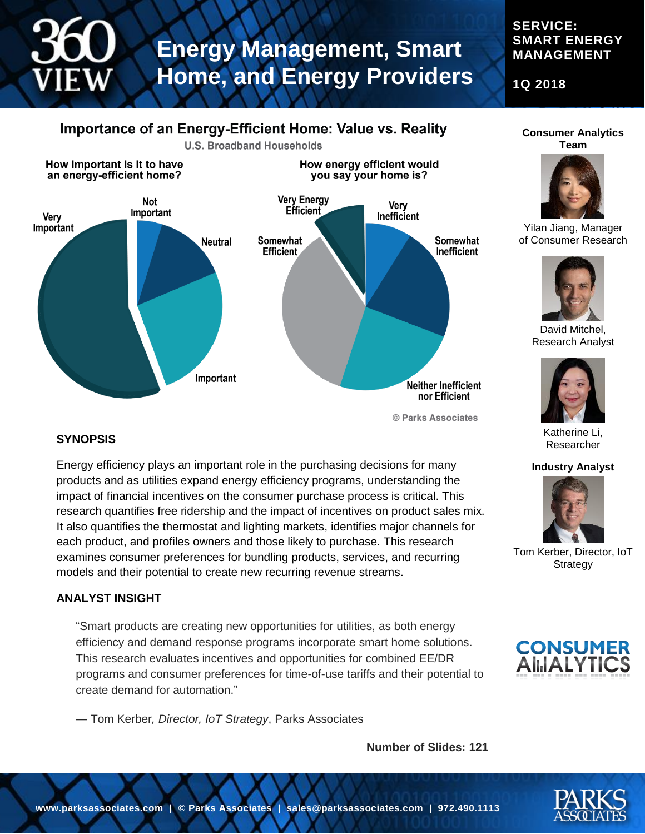## **SERVICE: SMART ENERGY MANAGEMENT**

**1Q 2018**

## Importance of an Energy-Efficient Home: Value vs. Reality



© Parks Associates

## **SYNOPSIS**

Energy efficiency plays an important role in the purchasing decisions for many products and as utilities expand energy efficiency programs, understanding the impact of financial incentives on the consumer purchase process is critical. This research quantifies free ridership and the impact of incentives on product sales mix. It also quantifies the thermostat and lighting markets, identifies major channels for each product, and profiles owners and those likely to purchase. This research examines consumer preferences for bundling products, services, and recurring models and their potential to create new recurring revenue streams.

## **ANALYST INSIGHT**

"Smart products are creating new opportunities for utilities, as both energy efficiency and demand response programs incorporate smart home solutions. This research evaluates incentives and opportunities for combined EE/DR programs and consumer preferences for time-of-use tariffs and their potential to create demand for automation."

― Tom Kerber*, Director, IoT Strategy*, Parks Associates

**Number of Slides: 121**

#### **Consumer Analytics Team**



Yilan Jiang, Manager of Consumer Research



David Mitchel, Research Analyst



Katherine Li, Researcher

#### **Industry Analyst**



Tom Kerber, Director, IoT **Strategy** 





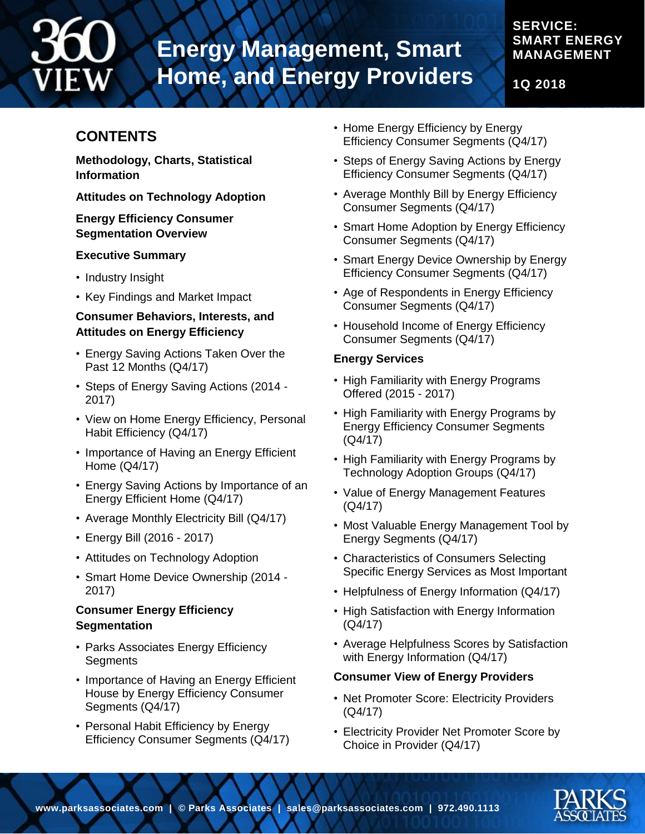## **SMART ENERGY MANAGEMENT**

**1Q 2018**

**SERVICE:** 

## **CONTENTS**

**Methodology, Charts, Statistical Information**

**Attitudes on Technology Adoption**

## **Energy Efficiency Consumer Segmentation Overview**

## **Executive Summary**

- Industry Insight
- Key Findings and Market Impact

## **Consumer Behaviors, Interests, and Attitudes on Energy Efficiency**

- Energy Saving Actions Taken Over the Past 12 Months (Q4/17)
- Steps of Energy Saving Actions (2014 2017)
- View on Home Energy Efficiency, Personal Habit Efficiency (Q4/17)
- Importance of Having an Energy Efficient Home (Q4/17)
- Energy Saving Actions by Importance of an Energy Efficient Home (Q4/17)
- Average Monthly Electricity Bill (Q4/17)
- Energy Bill (2016 2017)
- Attitudes on Technology Adoption
- Smart Home Device Ownership (2014 2017)

## **Consumer Energy Efficiency Segmentation**

- Parks Associates Energy Efficiency **Segments**
- Importance of Having an Energy Efficient House by Energy Efficiency Consumer Segments (Q4/17)
- Personal Habit Efficiency by Energy Efficiency Consumer Segments (Q4/17)
- Home Energy Efficiency by Energy Efficiency Consumer Segments (Q4/17)
- Steps of Energy Saving Actions by Energy Efficiency Consumer Segments (Q4/17)
- Average Monthly Bill by Energy Efficiency Consumer Segments (Q4/17)
- Smart Home Adoption by Energy Efficiency Consumer Segments (Q4/17)
- Smart Energy Device Ownership by Energy Efficiency Consumer Segments (Q4/17)
- Age of Respondents in Energy Efficiency Consumer Segments (Q4/17)
- Household Income of Energy Efficiency Consumer Segments (Q4/17)

## **Energy Services**

- High Familiarity with Energy Programs Offered (2015 - 2017)
- High Familiarity with Energy Programs by Energy Efficiency Consumer Segments (Q4/17)
- High Familiarity with Energy Programs by Technology Adoption Groups (Q4/17)
- Value of Energy Management Features (Q4/17)
- Most Valuable Energy Management Tool by Energy Segments (Q4/17)
- Characteristics of Consumers Selecting Specific Energy Services as Most Important
- Helpfulness of Energy Information (Q4/17)
- High Satisfaction with Energy Information (Q4/17)
- Average Helpfulness Scores by Satisfaction with Energy Information (Q4/17)

## **Consumer View of Energy Providers**

- Net Promoter Score: Electricity Providers (Q4/17)
- Electricity Provider Net Promoter Score by Choice in Provider (Q4/17)

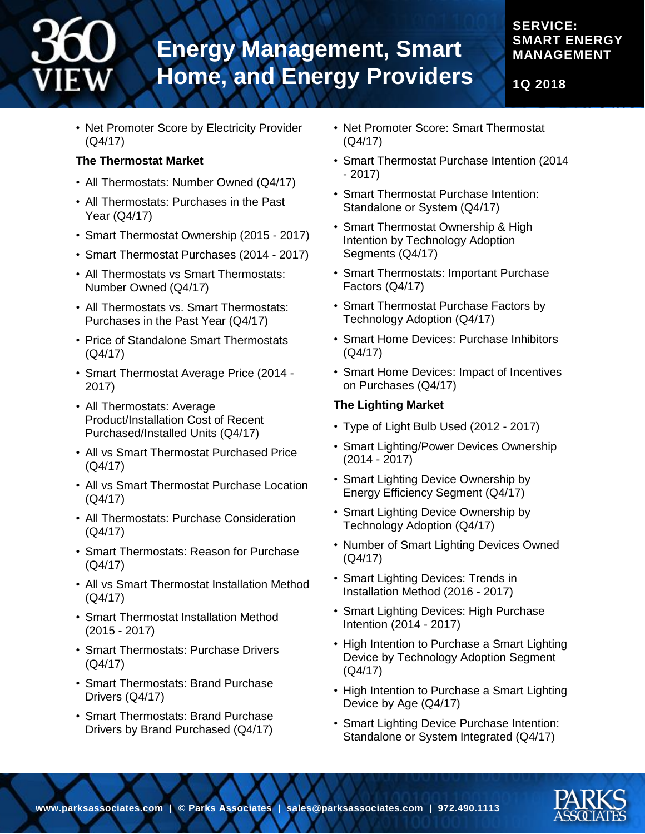## **1Q 2018**

**SERVICE:** 

**SMART ENERGY MANAGEMENT**

• Net Promoter Score by Electricity Provider (Q4/17)

## **The Thermostat Market**

- All Thermostats: Number Owned (Q4/17)
- All Thermostats: Purchases in the Past Year (Q4/17)
- Smart Thermostat Ownership (2015 2017)
- Smart Thermostat Purchases (2014 2017)
- All Thermostats vs Smart Thermostats: Number Owned (Q4/17)
- All Thermostats vs. Smart Thermostats: Purchases in the Past Year (Q4/17)
- Price of Standalone Smart Thermostats (Q4/17)
- Smart Thermostat Average Price (2014 2017)
- All Thermostats: Average Product/Installation Cost of Recent Purchased/Installed Units (Q4/17)
- All vs Smart Thermostat Purchased Price (Q4/17)
- All vs Smart Thermostat Purchase Location (Q4/17)
- All Thermostats: Purchase Consideration (Q4/17)
- Smart Thermostats: Reason for Purchase (Q4/17)
- All vs Smart Thermostat Installation Method (Q4/17)
- Smart Thermostat Installation Method (2015 - 2017)
- Smart Thermostats: Purchase Drivers (Q4/17)
- Smart Thermostats: Brand Purchase Drivers (Q4/17)
- Smart Thermostats: Brand Purchase Drivers by Brand Purchased (Q4/17)
- Net Promoter Score: Smart Thermostat (Q4/17)
- Smart Thermostat Purchase Intention (2014 - 2017)
- Smart Thermostat Purchase Intention: Standalone or System (Q4/17)
- Smart Thermostat Ownership & High Intention by Technology Adoption Segments (Q4/17)
- Smart Thermostats: Important Purchase Factors (Q4/17)
- Smart Thermostat Purchase Factors by Technology Adoption (Q4/17)
- Smart Home Devices: Purchase Inhibitors (Q4/17)
- Smart Home Devices: Impact of Incentives on Purchases (Q4/17)

## **The Lighting Market**

- Type of Light Bulb Used (2012 2017)
- Smart Lighting/Power Devices Ownership (2014 - 2017)
- Smart Lighting Device Ownership by Energy Efficiency Segment (Q4/17)
- Smart Lighting Device Ownership by Technology Adoption (Q4/17)
- Number of Smart Lighting Devices Owned (Q4/17)
- Smart Lighting Devices: Trends in Installation Method (2016 - 2017)
- Smart Lighting Devices: High Purchase Intention (2014 - 2017)
- High Intention to Purchase a Smart Lighting Device by Technology Adoption Segment (Q4/17)
- High Intention to Purchase a Smart Lighting Device by Age (Q4/17)
- Smart Lighting Device Purchase Intention: Standalone or System Integrated (Q4/17)

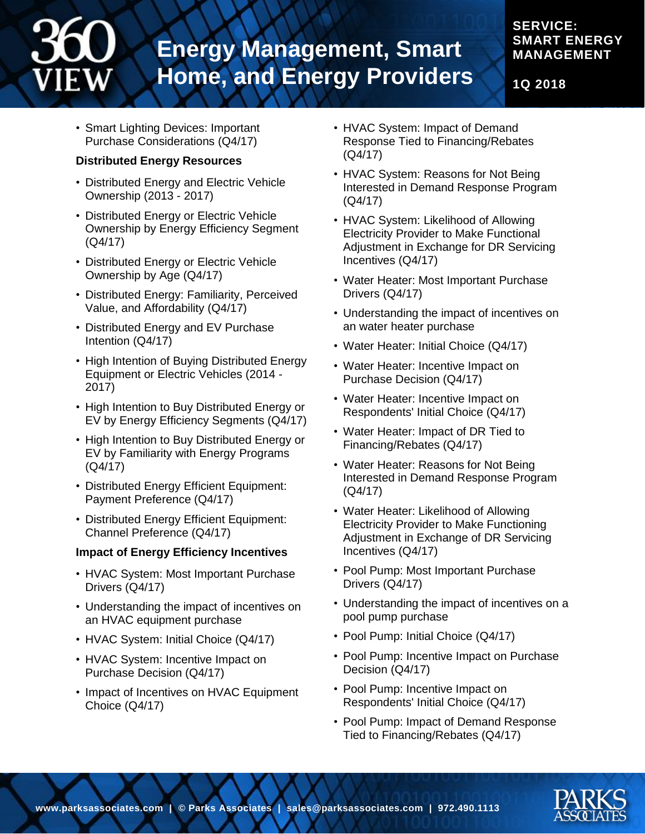## **SERVICE: SMART ENERGY MANAGEMENT**

**1Q 2018**

• Smart Lighting Devices: Important Purchase Considerations (Q4/17)

## **Distributed Energy Resources**

- Distributed Energy and Electric Vehicle Ownership (2013 - 2017)
- Distributed Energy or Electric Vehicle Ownership by Energy Efficiency Segment (Q4/17)
- Distributed Energy or Electric Vehicle Ownership by Age (Q4/17)
- Distributed Energy: Familiarity, Perceived Value, and Affordability (Q4/17)
- Distributed Energy and EV Purchase Intention (Q4/17)
- High Intention of Buying Distributed Energy Equipment or Electric Vehicles (2014 - 2017)
- High Intention to Buy Distributed Energy or EV by Energy Efficiency Segments (Q4/17)
- High Intention to Buy Distributed Energy or EV by Familiarity with Energy Programs (Q4/17)
- Distributed Energy Efficient Equipment: Payment Preference (Q4/17)
- Distributed Energy Efficient Equipment: Channel Preference (Q4/17)

## **Impact of Energy Efficiency Incentives**

- HVAC System: Most Important Purchase Drivers (Q4/17)
- Understanding the impact of incentives on an HVAC equipment purchase
- HVAC System: Initial Choice (Q4/17)
- HVAC System: Incentive Impact on Purchase Decision (Q4/17)
- Impact of Incentives on HVAC Equipment Choice (Q4/17)
- HVAC System: Impact of Demand Response Tied to Financing/Rebates (Q4/17)
- HVAC System: Reasons for Not Being Interested in Demand Response Program (Q4/17)
- HVAC System: Likelihood of Allowing Electricity Provider to Make Functional Adjustment in Exchange for DR Servicing Incentives (Q4/17)
- Water Heater: Most Important Purchase Drivers (Q4/17)
- Understanding the impact of incentives on an water heater purchase
- Water Heater: Initial Choice (Q4/17)
- Water Heater: Incentive Impact on Purchase Decision (Q4/17)
- Water Heater: Incentive Impact on Respondents' Initial Choice (Q4/17)
- Water Heater: Impact of DR Tied to Financing/Rebates (Q4/17)
- Water Heater: Reasons for Not Being Interested in Demand Response Program (Q4/17)
- Water Heater: Likelihood of Allowing Electricity Provider to Make Functioning Adjustment in Exchange of DR Servicing Incentives (Q4/17)
- Pool Pump: Most Important Purchase Drivers (Q4/17)
- Understanding the impact of incentives on a pool pump purchase
- Pool Pump: Initial Choice (Q4/17)
- Pool Pump: Incentive Impact on Purchase Decision (Q4/17)
- Pool Pump: Incentive Impact on Respondents' Initial Choice (Q4/17)
- Pool Pump: Impact of Demand Response Tied to Financing/Rebates (Q4/17)

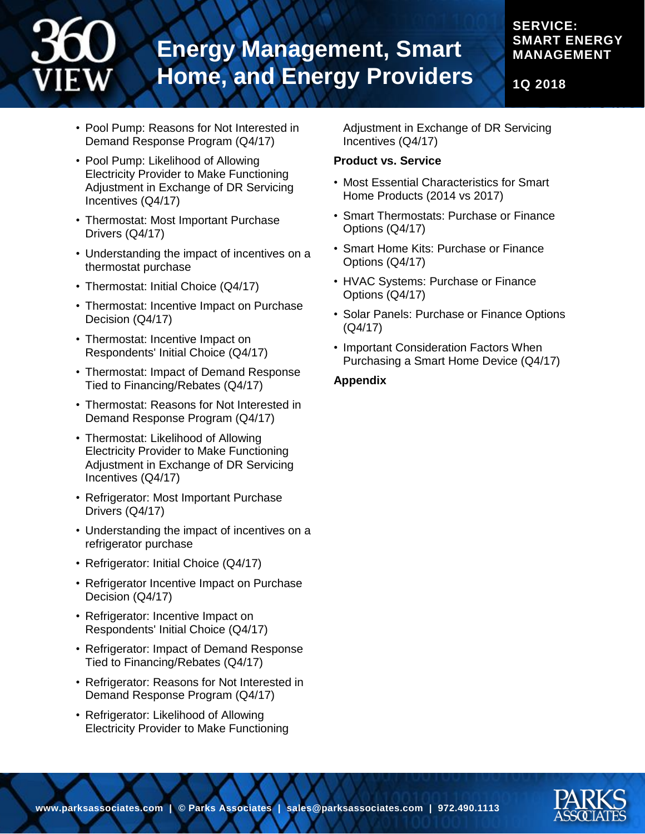## **SERVICE: SMART ENERGY MANAGEMENT**

**1Q 2018**

- Pool Pump: Reasons for Not Interested in Demand Response Program (Q4/17)
- Pool Pump: Likelihood of Allowing Electricity Provider to Make Functioning Adjustment in Exchange of DR Servicing Incentives (Q4/17)
- Thermostat: Most Important Purchase Drivers (Q4/17)
- Understanding the impact of incentives on a thermostat purchase
- Thermostat: Initial Choice (Q4/17)
- Thermostat: Incentive Impact on Purchase Decision (Q4/17)
- Thermostat: Incentive Impact on Respondents' Initial Choice (Q4/17)
- Thermostat: Impact of Demand Response Tied to Financing/Rebates (Q4/17)
- Thermostat: Reasons for Not Interested in Demand Response Program (Q4/17)
- Thermostat: Likelihood of Allowing Electricity Provider to Make Functioning Adjustment in Exchange of DR Servicing Incentives (Q4/17)
- Refrigerator: Most Important Purchase Drivers (Q4/17)
- Understanding the impact of incentives on a refrigerator purchase
- Refrigerator: Initial Choice (Q4/17)
- Refrigerator Incentive Impact on Purchase Decision (Q4/17)
- Refrigerator: Incentive Impact on Respondents' Initial Choice (Q4/17)
- Refrigerator: Impact of Demand Response Tied to Financing/Rebates (Q4/17)
- Refrigerator: Reasons for Not Interested in Demand Response Program (Q4/17)
- Refrigerator: Likelihood of Allowing Electricity Provider to Make Functioning

Adjustment in Exchange of DR Servicing Incentives (Q4/17)

## **Product vs. Service**

- Most Essential Characteristics for Smart Home Products (2014 vs 2017)
- Smart Thermostats: Purchase or Finance Options (Q4/17)
- Smart Home Kits: Purchase or Finance Options (Q4/17)
- HVAC Systems: Purchase or Finance Options (Q4/17)
- Solar Panels: Purchase or Finance Options (Q4/17)
- Important Consideration Factors When Purchasing a Smart Home Device (Q4/17)

## **Appendix**